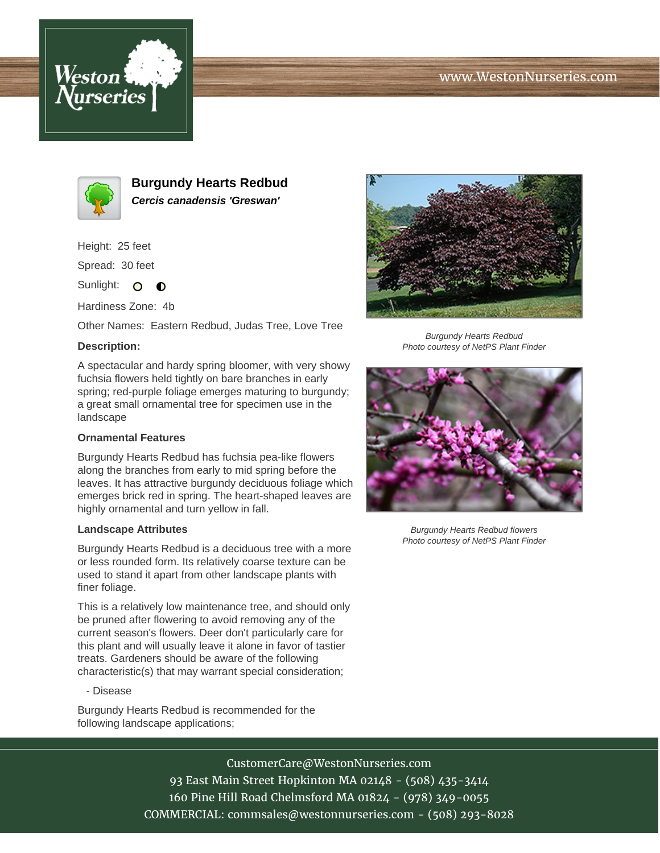





**Burgundy Hearts Redbud Cercis canadensis 'Greswan'**

Height: 25 feet

Spread: 30 feet

Sunlight: O **O** 

Hardiness Zone: 4b

Other Names: Eastern Redbud, Judas Tree, Love Tree

# **Description:**

A spectacular and hardy spring bloomer, with very showy fuchsia flowers held tightly on bare branches in early spring; red-purple foliage emerges maturing to burgundy; a great small ornamental tree for specimen use in the landscape

## **Ornamental Features**

Burgundy Hearts Redbud has fuchsia pea-like flowers along the branches from early to mid spring before the leaves. It has attractive burgundy deciduous foliage which emerges brick red in spring. The heart-shaped leaves are highly ornamental and turn yellow in fall.

## **Landscape Attributes**

Burgundy Hearts Redbud is a deciduous tree with a more or less rounded form. Its relatively coarse texture can be used to stand it apart from other landscape plants with finer foliage.

This is a relatively low maintenance tree, and should only be pruned after flowering to avoid removing any of the current season's flowers. Deer don't particularly care for this plant and will usually leave it alone in favor of tastier treats. Gardeners should be aware of the following characteristic(s) that may warrant special consideration;

## - Disease

Burgundy Hearts Redbud is recommended for the following landscape applications;



Burgundy Hearts Redbud Photo courtesy of NetPS Plant Finder



Burgundy Hearts Redbud flowers Photo courtesy of NetPS Plant Finder

CustomerCare@WestonNurseries.com 93 East Main Street Hopkinton MA 02148 - (508) 435-3414 160 Pine Hill Road Chelmsford MA 01824 - (978) 349-0055 COMMERCIAL: commsales@westonnurseries.com - (508) 293-8028